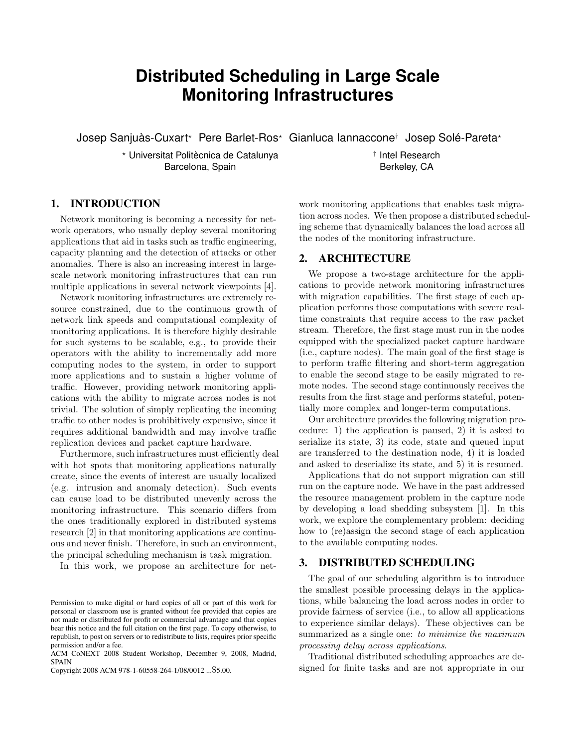# **Distributed Scheduling in Large Scale Monitoring Infrastructures**

Josep Sanjuàs-Cuxart*?* Pere Barlet-Ros*?* Gianluca Iannaccone*†* Josep Solé-Pareta*?*

*?* Universitat Politècnica de Catalunya Barcelona, Spain

## 1. INTRODUCTION

Network monitoring is becoming a necessity for network operators, who usually deploy several monitoring applications that aid in tasks such as traffic engineering, capacity planning and the detection of attacks or other anomalies. There is also an increasing interest in largescale network monitoring infrastructures that can run multiple applications in several network viewpoints [4].

Network monitoring infrastructures are extremely resource constrained, due to the continuous growth of network link speeds and computational complexity of monitoring applications. It is therefore highly desirable for such systems to be scalable, e.g., to provide their operators with the ability to incrementally add more computing nodes to the system, in order to support more applications and to sustain a higher volume of traffic. However, providing network monitoring applications with the ability to migrate across nodes is not trivial. The solution of simply replicating the incoming traffic to other nodes is prohibitively expensive, since it requires additional bandwidth and may involve traffic replication devices and packet capture hardware.

Furthermore, such infrastructures must efficiently deal with hot spots that monitoring applications naturally create, since the events of interest are usually localized (e.g. intrusion and anomaly detection). Such events can cause load to be distributed unevenly across the monitoring infrastructure. This scenario differs from the ones traditionally explored in distributed systems research [2] in that monitoring applications are continuous and never finish. Therefore, in such an environment, the principal scheduling mechanism is task migration.

In this work, we propose an architecture for net-

*†* Intel Research Berkeley, CA

work monitoring applications that enables task migration across nodes. We then propose a distributed scheduling scheme that dynamically balances the load across all the nodes of the monitoring infrastructure.

#### 2. ARCHITECTURE

We propose a two-stage architecture for the applications to provide network monitoring infrastructures with migration capabilities. The first stage of each application performs those computations with severe realtime constraints that require access to the raw packet stream. Therefore, the first stage must run in the nodes equipped with the specialized packet capture hardware (i.e., capture nodes). The main goal of the first stage is to perform traffic filtering and short-term aggregation to enable the second stage to be easily migrated to remote nodes. The second stage continuously receives the results from the first stage and performs stateful, potentially more complex and longer-term computations.

Our architecture provides the following migration procedure: 1) the application is paused, 2) it is asked to serialize its state, 3) its code, state and queued input are transferred to the destination node, 4) it is loaded and asked to deserialize its state, and 5) it is resumed.

Applications that do not support migration can still run on the capture node. We have in the past addressed the resource management problem in the capture node by developing a load shedding subsystem [1]. In this work, we explore the complementary problem: deciding how to (re)assign the second stage of each application to the available computing nodes.

### 3. DISTRIBUTED SCHEDULING

The goal of our scheduling algorithm is to introduce the smallest possible processing delays in the applications, while balancing the load across nodes in order to provide fairness of service (i.e., to allow all applications to experience similar delays). These objectives can be summarized as a single one: *to minimize the maximum processing delay across applications*.

Traditional distributed scheduling approaches are designed for finite tasks and are not appropriate in our

Permission to make digital or hard copies of all or part of this work for personal or classroom use is granted without fee provided that copies are not made or distributed for profit or commercial advantage and that copies bear this notice and the full citation on the first page. To copy otherwise, to republish, to post on servers or to redistribute to lists, requires prior specific permission and/or a fee.

ACM CoNEXT 2008 Student Workshop, December 9, 2008, Madrid, SPAIN

Copyright 2008 ACM 978-1-60558-264-1/08/0012 ...\$5.00.